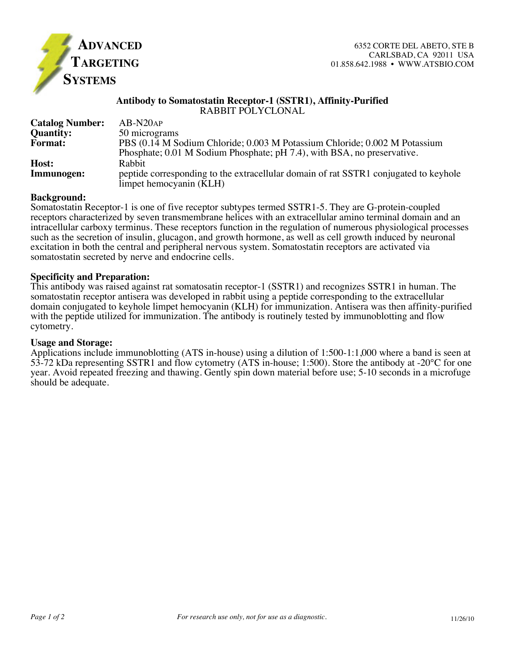

## **Antibody to Somatostatin Receptor-1 (SSTR1), Affinity-Purified** RABBIT POLYCLONAL

| <b>Catalog Number:</b> | $AB-N20AP$                                                                                                                                            |
|------------------------|-------------------------------------------------------------------------------------------------------------------------------------------------------|
| <b>Quantity:</b>       | 50 micrograms                                                                                                                                         |
| <b>Format:</b>         | PBS (0.14 M Sodium Chloride; 0.003 M Potassium Chloride; 0.002 M Potassium<br>Phosphate; 0.01 M Sodium Phosphate; pH 7.4), with BSA, no preservative. |
| Host:<br>Immunogen:    | <b>Rabbit</b><br>peptide corresponding to the extracellular domain of rat SSTR1 conjugated to keyhole<br>limpet hemocyanin (KLH)                      |

## **Background:**

Somatostatin Receptor-1 is one of five receptor subtypes termed SSTR1-5. They are G-protein-coupled receptors characterized by seven transmembrane helices with an extracellular amino terminal domain and an intracellular carboxy terminus. These receptors function in the regulation of numerous physiological processes such as the secretion of insulin, glucagon, and growth hormone, as well as cell growth induced by neuronal excitation in both the central and peripheral nervous system. Somatostatin receptors are activated via somatostatin secreted by nerve and endocrine cells.

# **Specificity and Preparation:**

This antibody was raised against rat somatosatin receptor-1 (SSTR1) and recognizes SSTR1 in human. The somatostatin receptor antisera was developed in rabbit using a peptide corresponding to the extracellular domain conjugated to keyhole limpet hemocyanin (KLH) for immunization. Antisera was then affinity-purified with the peptide utilized for immunization. The antibody is routinely tested by immunoblotting and flow cytometry.

## **Usage and Storage:**

Applications include immunoblotting (ATS in-house) using a dilution of 1:500-1:1,000 where a band is seen at 53-72 kDa representing SSTR1 and flow cytometry (ATS in-house; 1:500). Store the antibody at -20°C for one year. Avoid repeated freezing and thawing. Gently spin down material before use; 5-10 seconds in a microfuge should be adequate.